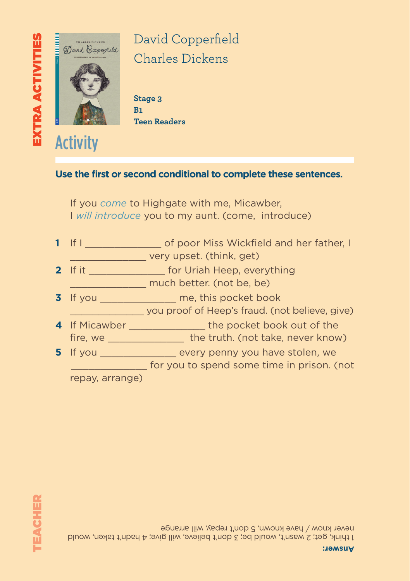

David Copperfield Charles Dickens

**Stage 3 B1 Teen Readers**

### **Use the first or second conditional to complete these sentences.**

If you *come* to Highgate with me, Micawber, I *will introduce* you to my aunt. (come, introduce)

**1** If I \_\_\_\_\_\_\_\_\_\_\_\_\_ of poor Miss Wickfield and her father, I

\_\_\_\_\_\_\_\_\_\_\_\_\_ you proof of Heep's fraud. (not believe, give)

\_\_\_\_\_\_\_\_\_\_\_\_\_ for you to spend some time in prison. (not

\_\_\_\_\_\_\_\_\_\_\_\_\_ very upset. (think, get)

**4** If Micawber \_\_\_\_\_\_\_\_\_\_\_\_\_ the pocket book out of the fire, we **the truth.** (not take, never know)

**5** If you **b** every penny you have stolen, we

**3** If you \_\_\_\_\_\_\_\_\_\_\_\_\_\_\_\_\_ me, this pocket book

- **2** If it \_\_\_\_\_\_\_\_\_\_\_\_\_\_\_\_\_ for Uriah Heep, everything \_\_\_\_\_\_\_\_\_\_\_\_\_ much better. (not be, be)
- 
- 



repay, arrange)

1 think, get; 2 wasn't, would be; 3 don't believe, will give; 4 hadn't taken, would never know / have known, 5 don't repay, will arrange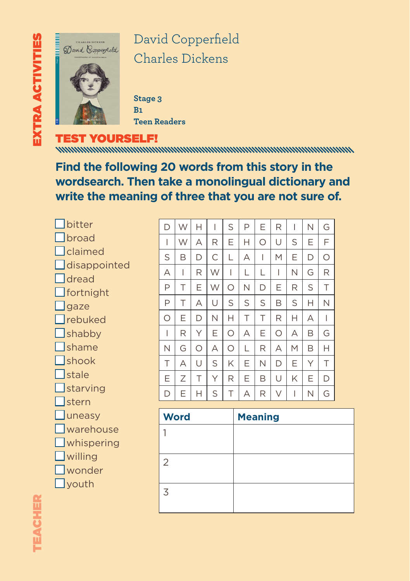

David Copperfield Charles Dickens

**Stage 3 B1 Teen Readers**

TEST YOURSELF!

**Find the following 20 words from this story in the wordsearch. Then take a monolingual dictionary and write the meaning of three that you are not sure of.**

■ bitter **T**broad ■ claimed  $\Box$  disappointed  $\Box$  dread  $\Box$  fortnight  $\Box$  gaze ■ rebuked  $\mathsf{\overline{\mathsf{I}}}$ shabby ■ shame ■ shook ■ stale **T**starving 1<sub>stern</sub> **Juneasy** ■ warehouse  $\Box$  whispering  $\Box$  willing ■ wonder  $\Box$  youth

| D | W | н | I | S | P | Е | R | I | Ν | G |
|---|---|---|---|---|---|---|---|---|---|---|
| I | W | А | R | Е | Н | О | U | S | Е | F |
| S | B | D | С | L | А | I | M | Е | D | О |
| А | I | R | W | I | L | L | I | Ν | G | R |
| P | Τ | Е | W | О | Ν | D | Ε | R | S | Τ |
| P | Τ | А | U | S | S | S | Β | S | Н | Ν |
| О | Ε | D | Ν | Н | Τ | Τ | R | Н | А | I |
| I | R | Υ | Ε | О | А | Ε | О | А | Β | G |
| N | G | O | А | О | L | R | А | M | Β | Н |
| T | А | U | S | Κ | Ε | N | D | Ε | Υ | Τ |
| Ε | Ζ | Τ | Υ | R | Е | B | U | Κ | Е | D |
| D | Е | н | S | Τ | А | R | V | I | Ν | G |

| <b>Word</b>   | <b>Meaning</b> |
|---------------|----------------|
|               |                |
|               |                |
| $\mathcal{L}$ |                |
|               |                |
| 3             |                |
|               |                |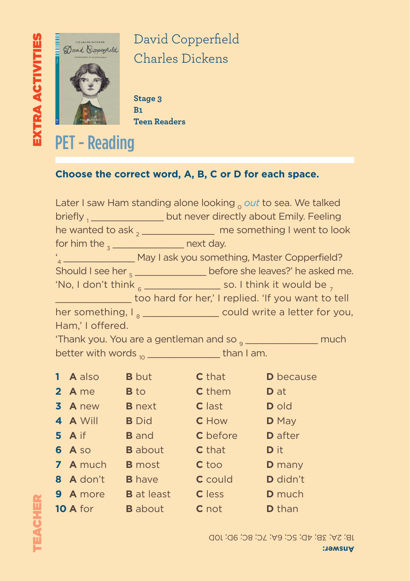

David Copperfield Charles Dickens

**Stage 3 B1 Teen Readers**

## PET - Reading

### **Choose the correct word, A, B, C or D for each space.**

|                                                                                     |                  |              |                                              | Later I saw Ham standing alone looking $_0$ out to sea. We talked         |  |  |  |  |
|-------------------------------------------------------------------------------------|------------------|--------------|----------------------------------------------|---------------------------------------------------------------------------|--|--|--|--|
|                                                                                     |                  |              |                                              | briefly 1_________________but never directly about Emily. Feeling         |  |  |  |  |
|                                                                                     |                  |              |                                              | he wanted to ask $_{2}$ _________________ me something I went to look     |  |  |  |  |
| for him the $\frac{1}{3}$ next day.                                                 |                  |              |                                              |                                                                           |  |  |  |  |
|                                                                                     |                  |              |                                              | "4_____________________ May I ask you something, Master Copperfield?      |  |  |  |  |
| Should I see her $_{5}$ _________________ before she leaves?' he asked me.          |                  |              |                                              |                                                                           |  |  |  |  |
| 'No, I don't think $_{\rm 6}$ __________________ so. I think it would be $_{\rm 7}$ |                  |              |                                              |                                                                           |  |  |  |  |
| too hard for her,' I replied. 'If you want to tell                                  |                  |              |                                              |                                                                           |  |  |  |  |
| her something, $I_{\rm g}$ __________________ could write a letter for you,         |                  |              |                                              |                                                                           |  |  |  |  |
| Ham,' I offered.                                                                    |                  |              |                                              |                                                                           |  |  |  |  |
|                                                                                     |                  |              |                                              | 'Thank you. You are a gentleman and so <sub>9</sub> ________________ much |  |  |  |  |
| better with words $_{10}$ __________________________ than I am.                     |                  |              |                                              |                                                                           |  |  |  |  |
|                                                                                     | 1 A also         | <b>B</b> but | $C$ that $\qquad \qquad$                     | <b>D</b> because                                                          |  |  |  |  |
|                                                                                     | $2 \text{ A}$ me |              | <b>B</b> to <b>C</b> them <b>D</b> at        |                                                                           |  |  |  |  |
|                                                                                     |                  |              | 3 A new B next C last D old                  |                                                                           |  |  |  |  |
|                                                                                     | 4 A Will         |              | <b>B</b> Did <b>C</b> How                    | <b>D</b> May                                                              |  |  |  |  |
|                                                                                     | $5$ A if         |              |                                              |                                                                           |  |  |  |  |
|                                                                                     |                  |              | <b>B</b> and <b>C</b> before <b>D</b> after  |                                                                           |  |  |  |  |
|                                                                                     | 6 A so           |              | <b>B</b> about <b>C</b> that                 | <b>D</b> it                                                               |  |  |  |  |
|                                                                                     | <b>7</b> A much  |              | <b>B</b> most <b>C</b> too                   | <b>D</b> many                                                             |  |  |  |  |
|                                                                                     | 8 A don't        |              | <b>B</b> have <b>C</b> could <b>D</b> didn't |                                                                           |  |  |  |  |
|                                                                                     | 9 A more         |              | <b>B</b> at least <b>C</b> less              | <b>D</b> much                                                             |  |  |  |  |
|                                                                                     | <b>10 A</b> for  |              | <b>B</b> about <b>C</b> not                  | <b>D</b> than                                                             |  |  |  |  |